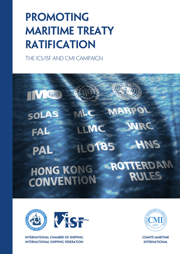## **Promoting maritime treaty ratification**

the ICS/ISF and CMI campaign

### IV O **MARPO**  $ML$ SOLAS **NRC** LLMC FAL **ILO185 HNS PAL ROTTERDAM HONG KONG RULES CONVENTION**



**INTERNATIONAL CHAMBER OF SHIPPING INTERNATIONAL SHIPPING FEDERATION**



**COMITé MARITIME International**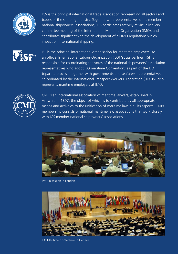

ICS is the principal international trade association representing all sectors and trades of the shipping industry. Together with representatives of its member national shipowners' associations, ICS participates actively at virtually every committee meeting of the International Maritime Organization (IMO), and contributes significantly to the development of all IMO regulations which impact on international shipping.



ISF is the principal international organisation for maritime employers. As an official International Labour Organization (ILO) 'social partner', ISF is responsible for co-ordinating the votes of the national shipowners' association representatives who adopt ILO maritime Conventions as part of the ILO tripartite process, together with governments and seafarers' representatives co-ordinated by the International Transport Workers' Federation (ITF). ISF also represents maritime employers at IMO.



CMI is an international association of maritime lawyers, established in Antwerp in 1897, the object of which is to contribute by all appropriate means and activities to the unification of maritime law in all its aspects. CMI's membership consists of national maritime law associations that work closely with ICS member national shipowners' associations.



IMO in session in London



ILO Maritime Conference in Geneva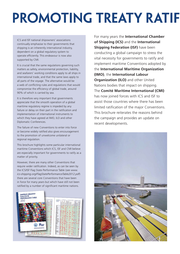## **PROMOTING TREATY RATIF**

ICS and ISF national shipowners' associations continually emphasise to their governments that shipping is an inherently international industry, dependent on a global regulatory system to operate efficiently. This endeavour is now also supported by CMI.

It is crucial that the same regulations governing such matters as safety, environmental protection, liability, and seafarers' working conditions apply to all ships in international trade, and that the same laws apply to all parts of the voyage. The alternative would be a web of conflicting rules and regulations that would compromise the efficiency of global trade, around 90% of which is carried by sea.

It is therefore very important that governments appreciate that the smooth operation of a global maritime regulatory regime is impeded by any failure or delay on their part in the ratification and implementation of international instruments to which they have agreed at IMO, ILO and other Diplomatic Conferences.

The failure of new Conventions to enter into force or become widely ratified also gives encouragement to the promotion of unwelcome unilateral or regional regulation.

This brochure highlights some particular international maritime Conventions which ICS, ISF and CMI believe are especially important for governments to ratify as a matter of priority.

However, there are many other Conventions that require wider ratification. Indeed, as can be seen by the ICS/ISF Flag State Performance Table (*see www. ics-shipping.org/FlagStatePerformanceTable2012.pdf*) there are several core Conventions that have been in force for many years but which have still not been ratified by a number of significant maritime nations.



For many years the **International Chamber of Shipping (ICS)** and the **International Shipping Federation (ISF)** have been conducting a global campaign to stress the vital necessity for governments to ratify and implement maritime Conventions adopted by the **International Maritime Organization (IMO)**, the **International Labour Organization (ILO)** and other United Nations bodies that impact on shipping. The **Comité Maritime International (CMI)** has now joined forces with ICS and ISF to assist those countries where there has been limited ratification of the major Conventions. This brochure reiterates the reasons behind the campaign and provides an update on recent developments.

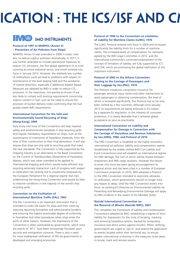# **PRODUCATION : THE ICS/ISF AND CI**



### **IMO IMO INSTRUMENTS**

#### **Protocol of 1997 to MARPOL (Annex VI – Prevention of Air Pollution from Ships)**

MARPOL Annex VI was amended in 2008 in order, inter alia, to reduce sulphur pollution dramatically. In 2011, it was further amended to include operational measures to reduce CO<sub>2</sub> emissions, the first global agreement of its kind covering an entire industrial sector, and which entered into force in January 2013. However, the relatively low number of ratifications could yet lead to problems with respect to maintenance of the level playing field and the avoidance of market distortion, especially if additional Market Based Measures are adopted by IMO in order to reduce CO<sub>2</sub> emissions. In the meantime, non-parties to Annex VI are less likely to comply with existing requirements concerning sulphur content in fuel, such as the need to ensure the provision of bunker delivery notes confirming that the fuel quality meets IMO requirements.

#### **International Convention for the Safe and Environmentally Sound Recycling of Ships (Hong Kong), 2009**

Early entry into force of this Convention will help improve safety and environmental standards in ship recycling yards and impose mandatory requirements on ships, such as the maintenance of inventories of hazardous materials, from the time of their construction to their final demolition. It will also require that ships are only sold to recycling yards that meet the new standards. The Convention is fully supported by the shipping industry as an alternative to the Basel Convention on the Control of Transboundary Movements of Hazardous Wastes, which was never intended to be applied to international shipping and which would make efficient ship recycling extremely impractical. Lack of progress with respect to ratification has recently led to unwelcome proposals by the European Parliament for a regional regime that risks undermining the Hong Kong Convention and would do little to improve conditions in the majority of the world's ship recycling yards.

#### **Convention on the Facilitation of International Maritime Traffic (FAL), 1965**

The FAL Convention is an important instrument that is intended to make life easier for ships and their crews by reducing reporting formalities and administrative burdens, and ensuring the highest practicable degree of uniformity in formalities and other procedures when ships enter the ports of other nations. However, the importance of the Convention is often overlooked by governments, which since the events of '9/11' have been increasingly focussed upon security and immigration concerns. There is also a need for more widespread ratification of FAL by governments in developed and emerging economies.

#### **Protocol of 1996 to the Convention on Limitation of Liability for Maritime Claims (LLMC), 1976**

The LLMC Protocol entered into force in 2004 and increased significantly the liability limits for a number of maritime claims. The increased levels of compensation for claimants agreed by the IMO Legal Committee in 2012, and the international community's continued endorsement of the concept of limitation of liability, are fully supported by ICS and CMI, which are promoting the global ratification of this important instrument.

#### **Protocol of 2002 to the Athens Convention relating to the Carriage of Passengers and their Luggage by Sea (PAL), 1974**

The Protocol introduces compulsory insurance for passenger personal injury claims and other mechanisms to assist passengers in obtaining compensation, the level of which is increased significantly. The Protocol has so far only been ratified by a few countries, although since January 2013 its requirements are being enforced in EU waters by a separate EU regulation. In the interests of consumer protection, it is clearly desirable that it achieves global acceptance as soon as practicable.

#### **International Convention on Liability and Compensation for Damage in Connection with the Carriage of Hazardous and Noxious Substances by Sea (HNS), 1996, and Protocol of 2010**

The HNS Convention is modelled on the highly successful international oil pollution liability and compensation regime (established by the widely ratified IMO Civil Liability and Fund Conventions) and will establish an international regime for HNS damage, the cost of which will be shared between shipowners and HNS cargo receivers. However the failure to enter into force has been giving encouragement to regional action and has been cited in a number of European Commission proposals. In 2010, IMO adopted a Protocol to the HNS Convention intended to overcome obstacles to ratification, which governments should no longer have any reason to delay. Until the HNS Convention enters into force, an existing EU Directive on Environmental Liability for Preventing and Remedying Environmental Damage will apply to HNS incidents in the waters of EU Member States.

#### **Nairobi International Convention on the Removal of Wrecks (Nairobi WRC), 2007**

This completes the framework of liability and compensation Conventions adopted by IMO, establishing a regime of strict liability for shipowners for the costs of locating, marking and removing hazardous wrecks, backed by compulsory insurance and direct action against insurers. When ratifying, governments are urged to 'opt-in' and extend the application to wrecks located within their territorial sea, to ensure greater international uniformity in the measures to be taken to locate, mark and remove wrecks.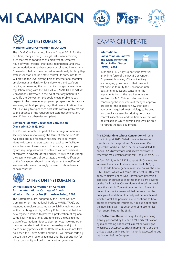## **MI CAMPAIGN**







#### **Maritime Labour Convention (MLC), 2006**

The ILO MLC will enter into force in August 2013. For the first time, many existing ILO legal instruments covering such matters as conditions of employment, seafarers' hours of work, medical treatment, repatriation, and crew accommodation at sea have been consolidated into a single Convention that can be enforced internationally both by flag state inspection and port state control. Its entry into force will provide the level playing field of international maritime employment standards which shipowners and seafarers require, representing the 'fourth pillar' of global maritime regulation along with the IMO SOLAS, MARPOL and STCW Conventions. However, in the event that any nation fails to ratify the Convention this could create problems with respect to the overseas employment prospects of its national seafarers, while ships flying flags that have not ratified the MLC are likely to experience port state control problems due to the absence of the required flag state documentation, even if they are otherwise compliant.

#### **Seafarers' Identity Documents Convention (Revised) (ILO 185), 2003**

ILO 185 was adopted as part of the package of maritime security measures following the terrorist attacks of 2001. As a quid pro quo for requiring seafarers to carry new identity documents, port states are required to facilitate shore leave and transits to and from ships, for example by not requiring seafarers to obtain visas from overseas consulates in advance of their arrival. As well as addressing the security concerns of port states, the wide ratification of the Convention should materially assist the welfare of seafarers who are increasingly deprived of shore leave in certain countries.



#### **OTHER UN Instruments**

#### **United Nations Convention on Contracts for the International Carriage of Goods Wholly or Partly by Sea (Rotterdam Rules), 2009**

The Rotterdam Rules, adopted by the United Nations Commission on International Trade Law (UNCITRAL), are intended to replace outdated cargo liability regimes such as the Hamburg and Hague/Visby Rules. It is vital that the new regime is ratified to prevent a proliferation of regional cargo liability regulations, and to ensure a global regime that reflects modern 'door to door' services involving other transport modes in addition to the sea-leg, and 'just in time' delivery practices. If the Rotterdam Rules do not take hold then the United States and the EU will almost certainly pursue their own regional regimes and the opportunity for global uniformity will be lost for another generation.

### CAMPAIGN UPDATE

#### **International Convention on Control and Management of Ships' Ballast Water (BWM), 2004**



In principle, ICS fully supports the eventual entry into force of the BWM Convention. At present, however, ICS is not actively encouraging governments that have not yet done so to ratify the Convention until outstanding questions concerning the implementation of the requirements are resolved by IMO. This includes questions concerning the robustness of the type approval process for the expensive new treatment equipment required, methodology to be used for compliance sampling during port state control inspections, and the time scale that will be available in which existing ships will be able to retrofit the new equipment.

The **ILO Maritime Labour Convention** will enter force in August 2013. To help companies ensure compliance, ISF has produced *Guidelines on the Application of the ILO MLC*. ISF has also updated its popular *ISF Watchkeeper* work record software to reflect the requirements of the MLC (and STCW 2010).

In April 2012, with full ICS support, IMO agreed to increase the limits of liability under the **LLMC**, by 51%. In addition to general maritime claims, the new LLMC limits, which will come into effect in 2015, will apply to claims under IMO Conventions governing liabilities for bunker spills (other than claims covered by the Civil Liability Convention) and wreck removal once the Nairobi Convention enters into force. It is hoped that the increases will help ensure that the principle of limitation of liability will be maintained, which is vital if shipowners are to continue to have access to affordable insurance. It is also hoped that the new limits will not deter emerging economies from subscribing to the LLMC.

The **Rotterdam Rules** on cargo liability are being actively promoted by ICS and CMI. Early ratification by major trading nations will almost certainly give widespread acceptance critical momentum, and the United States administration is shortly expected to put ratification before Congress.